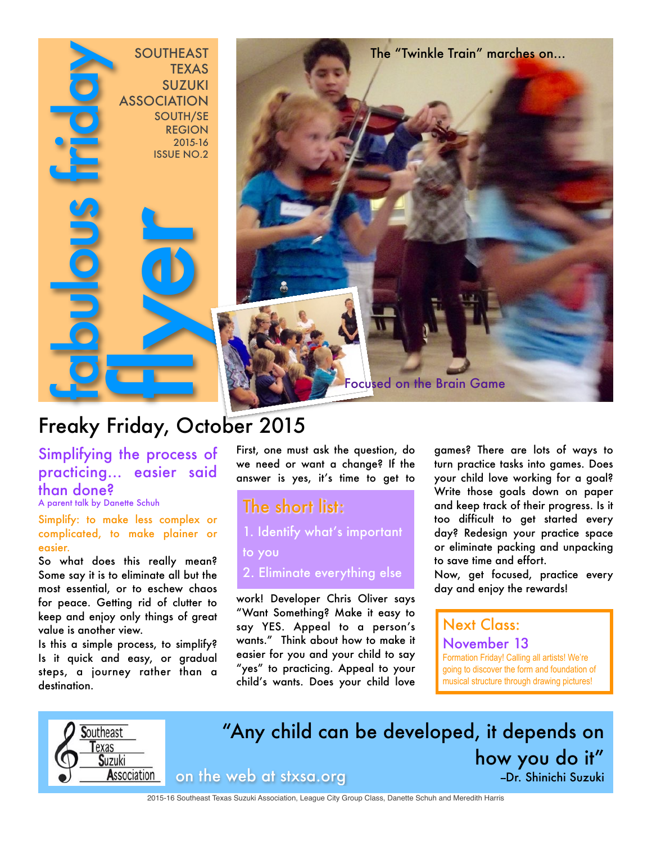

# Freaky Friday, October 2015

Simplifying the process of practicing... easier said than done?

A parent talk by Danette Schuh

Simplify: to make less complex or complicated, to make plainer or easier.

So what does this really mean? Some say it is to eliminate all but the most essential, or to eschew chaos for peace. Getting rid of clutter to keep and enjoy only things of great value is another view.

Is this a simple process, to simplify? Is it quick and easy, or gradual steps, a journey rather than a destination.

First, one must ask the question, do we need or want a change? If the answer is yes, it's time to get to

The short list: 1. Identify what's important

to you

2. Eliminate everything else

work! Developer Chris Oliver says "Want Something? Make it easy to say YES. Appeal to a person's wants." Think about how to make it easier for you and your child to say "yes" to practicing. Appeal to your child's wants. Does your child love games? There are lots of ways to turn practice tasks into games. Does your child love working for a goal? Write those goals down on paper and keep track of their progress. Is it too difficult to get started every day? Redesign your practice space or eliminate packing and unpacking to save time and effort.

Now, get focused, practice every day and enjoy the rewards!

# Next Class:

November 13 Formation Friday! Calling all artists! We're going to discover the form and foundation of musical structure through drawing pictures!



"Any child can be developed, it depends on how you do it" on the web at stxsa.org --Dr. Shinichi Suzuki

2015-16 Southeast Texas Suzuki Association, League City Group Class, Danette Schuh and Meredith Harris